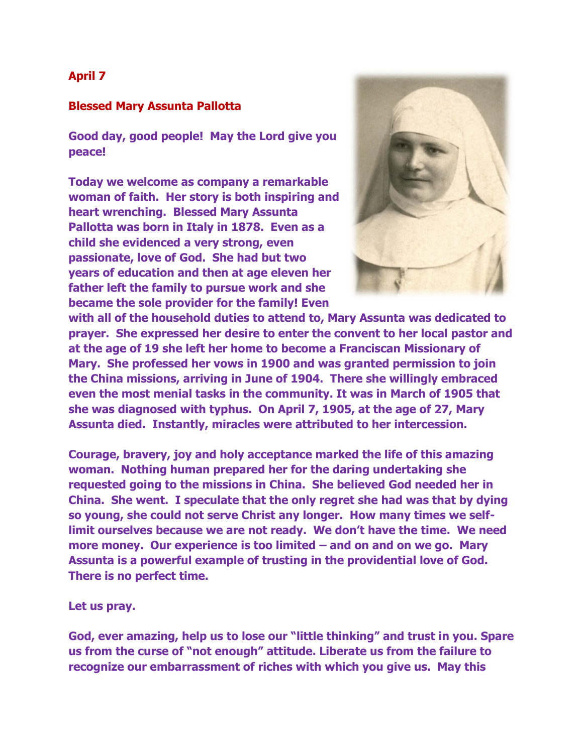## **April 7**

## **Blessed Mary Assunta Pallotta**

**Good day, good people! May the Lord give you peace!**

**Today we welcome as company a remarkable woman of faith. Her story is both inspiring and heart wrenching. Blessed Mary Assunta Pallotta was born in Italy in 1878. Even as a child she evidenced a very strong, even passionate, love of God. She had but two years of education and then at age eleven her father left the family to pursue work and she became the sole provider for the family! Even** 



**with all of the household duties to attend to, Mary Assunta was dedicated to prayer. She expressed her desire to enter the convent to her local pastor and at the age of 19 she left her home to become a Franciscan Missionary of Mary. She professed her vows in 1900 and was granted permission to join the China missions, arriving in June of 1904. There she willingly embraced even the most menial tasks in the community. It was in March of 1905 that she was diagnosed with typhus. On April 7, 1905, at the age of 27, Mary Assunta died. Instantly, miracles were attributed to her intercession.**

**Courage, bravery, joy and holy acceptance marked the life of this amazing woman. Nothing human prepared her for the daring undertaking she requested going to the missions in China. She believed God needed her in China. She went. I speculate that the only regret she had was that by dying so young, she could not serve Christ any longer. How many times we selflimit ourselves because we are not ready. We don't have the time. We need more money. Our experience is too limited – and on and on we go. Mary Assunta is a powerful example of trusting in the providential love of God. There is no perfect time.**

**Let us pray.**

**God, ever amazing, help us to lose our "little thinking" and trust in you. Spare us from the curse of "not enough" attitude. Liberate us from the failure to recognize our embarrassment of riches with which you give us. May this**